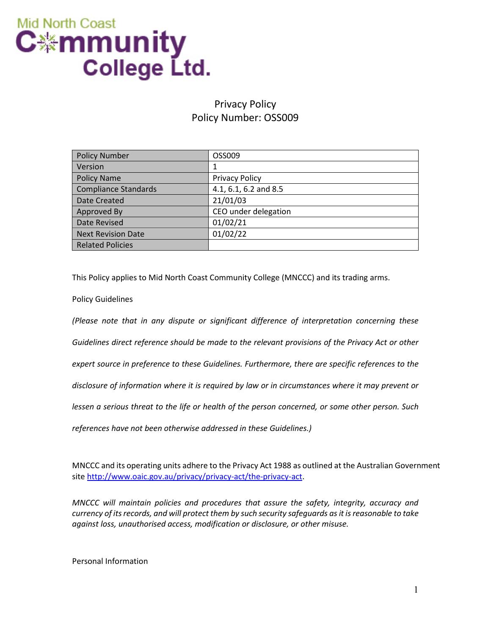

## Privacy Policy Policy Number: OSS009

| <b>Policy Number</b>        | OSS009                |
|-----------------------------|-----------------------|
| Version                     |                       |
| <b>Policy Name</b>          | <b>Privacy Policy</b> |
| <b>Compliance Standards</b> | 4.1, 6.1, 6.2 and 8.5 |
| Date Created                | 21/01/03              |
| Approved By                 | CEO under delegation  |
| Date Revised                | 01/02/21              |
| <b>Next Revision Date</b>   | 01/02/22              |
| <b>Related Policies</b>     |                       |

This Policy applies to Mid North Coast Community College (MNCCC) and its trading arms.

Policy Guidelines

*(Please note that in any dispute or significant difference of interpretation concerning these Guidelines direct reference should be made to the relevant provisions of the Privacy Act or other expert source in preference to these Guidelines. Furthermore, there are specific references to the disclosure of information where it is required by law or in circumstances where it may prevent or lessen a serious threat to the life or health of the person concerned, or some other person. Such references have not been otherwise addressed in these Guidelines.)*

MNCCC and its operating units adhere to the Privacy Act 1988 as outlined at the Australian Government sit[e http://www.oaic.gov.au/privacy/privacy-act/the-privacy-act.](http://www.oaic.gov.au/privacy/privacy-act/the-privacy-act)

*MNCCC will maintain policies and procedures that assure the safety, integrity, accuracy and currency of its records, and will protect them by such security safeguards as it is reasonable to take against loss, unauthorised access, modification or disclosure, or other misuse.*

Personal Information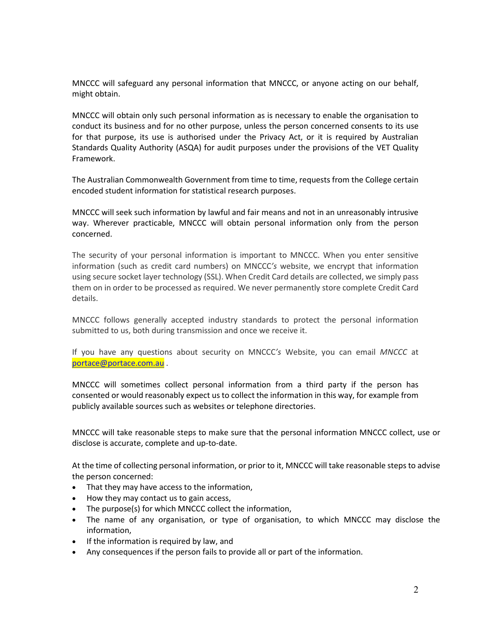MNCCC will safeguard any personal information that MNCCC, or anyone acting on our behalf, might obtain.

MNCCC will obtain only such personal information as is necessary to enable the organisation to conduct its business and for no other purpose, unless the person concerned consents to its use for that purpose, its use is authorised under the Privacy Act, or it is required by Australian Standards Quality Authority (ASQA) for audit purposes under the provisions of the VET Quality Framework.

The Australian Commonwealth Government from time to time, requests from the College certain encoded student information for statistical research purposes.

MNCCC will seek such information by lawful and fair means and not in an unreasonably intrusive way. Wherever practicable, MNCCC will obtain personal information only from the person concerned.

The security of your personal information is important to MNCCC. When you enter sensitive information (such as credit card numbers) on MNCCC*'s* website, we encrypt that information using secure socket layer technology (SSL). When Credit Card details are collected, we simply pass them on in order to be processed as required. We never permanently store complete Credit Card details.

MNCCC follows generally accepted industry standards to protect the personal information submitted to us, both during transmission and once we receive it.

If you have any questions about security on MNCCC*'s* Website, you can email *MNCCC* at [portace@portace.com.au](mailto:portace@portace.com.au) .

MNCCC will sometimes collect personal information from a third party if the person has consented or would reasonably expect us to collect the information in this way, for example from publicly available sources such as websites or telephone directories.

MNCCC will take reasonable steps to make sure that the personal information MNCCC collect, use or disclose is accurate, complete and up-to-date.

At the time of collecting personal information, or prior to it, MNCCC will take reasonable steps to advise the person concerned:

- That they may have access to the information,
- How they may contact us to gain access,
- The purpose(s) for which MNCCC collect the information,
- The name of any organisation, or type of organisation, to which MNCCC may disclose the information,
- If the information is required by law, and
- Any consequences if the person fails to provide all or part of the information.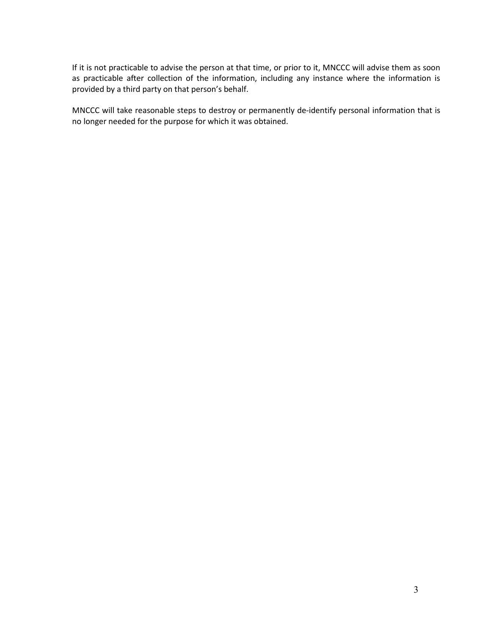If it is not practicable to advise the person at that time, or prior to it, MNCCC will advise them as soon as practicable after collection of the information, including any instance where the information is provided by a third party on that person's behalf.

MNCCC will take reasonable steps to destroy or permanently de-identify personal information that is no longer needed for the purpose for which it was obtained.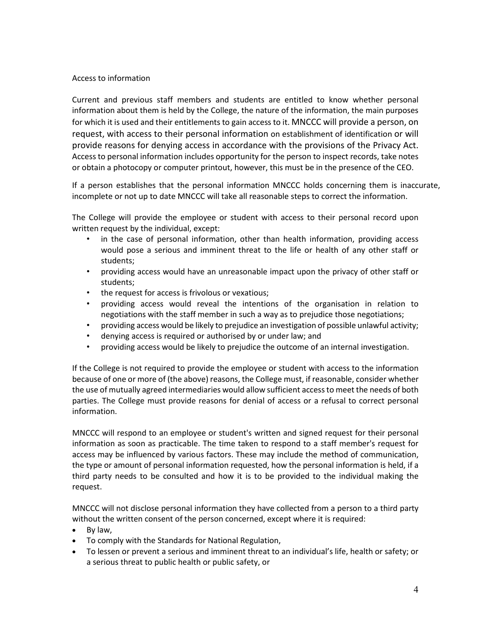#### Access to information

Current and previous staff members and students are entitled to know whether personal information about them is held by the College, the nature of the information, the main purposes for which it is used and their entitlements to gain access to it. MNCCC will provide a person, on request, with access to their personal information on establishment of identification or will provide reasons for denying access in accordance with the provisions of the Privacy Act. Access to personal information includes opportunity for the person to inspect records, take notes or obtain a photocopy or computer printout, however, this must be in the presence of the CEO.

If a person establishes that the personal information MNCCC holds concerning them is inaccurate, incomplete or not up to date MNCCC will take all reasonable steps to correct the information.

The College will provide the employee or student with access to their personal record upon written request by the individual, except:

- in the case of personal information, other than health information, providing access would pose a serious and imminent threat to the life or health of any other staff or students;
- providing access would have an unreasonable impact upon the privacy of other staff or students;
- the request for access is frivolous or vexatious;
- providing access would reveal the intentions of the organisation in relation to negotiations with the staff member in such a way as to prejudice those negotiations;
- providing access would be likely to prejudice an investigation of possible unlawful activity;
- denying access is required or authorised by or under law; and
- providing access would be likely to prejudice the outcome of an internal investigation.

If the College is not required to provide the employee or student with access to the information because of one or more of (the above) reasons, the College must, if reasonable, consider whether the use of mutually agreed intermediaries would allow sufficient access to meet the needs of both parties. The College must provide reasons for denial of access or a refusal to correct personal information.

MNCCC will respond to an employee or student's written and signed request for their personal information as soon as practicable. The time taken to respond to a staff member's request for access may be influenced by various factors. These may include the method of communication, the type or amount of personal information requested, how the personal information is held, if a third party needs to be consulted and how it is to be provided to the individual making the request.

MNCCC will not disclose personal information they have collected from a person to a third party without the written consent of the person concerned, except where it is required:

- By law,
- To comply with the Standards for National Regulation,
- To lessen or prevent a serious and imminent threat to an individual's life, health or safety; or a serious threat to public health or public safety, or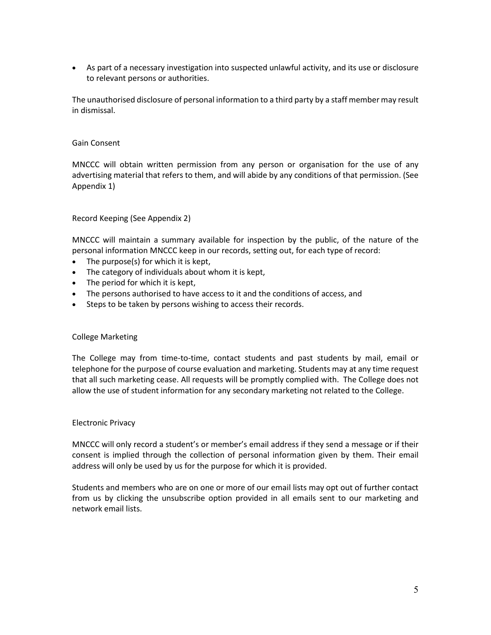• As part of a necessary investigation into suspected unlawful activity, and its use or disclosure to relevant persons or authorities.

The unauthorised disclosure of personal information to a third party by a staff member may result in dismissal.

#### Gain Consent

MNCCC will obtain written permission from any person or organisation for the use of any advertising material that refers to them, and will abide by any conditions of that permission. (See Appendix 1)

#### Record Keeping (See Appendix 2)

MNCCC will maintain a summary available for inspection by the public, of the nature of the personal information MNCCC keep in our records, setting out, for each type of record:

- The purpose(s) for which it is kept,
- The category of individuals about whom it is kept,
- The period for which it is kept,
- The persons authorised to have access to it and the conditions of access, and
- Steps to be taken by persons wishing to access their records.

#### College Marketing

The College may from time-to-time, contact students and past students by mail, email or telephone for the purpose of course evaluation and marketing. Students may at any time request that all such marketing cease. All requests will be promptly complied with. The College does not allow the use of student information for any secondary marketing not related to the College.

#### Electronic Privacy

MNCCC will only record a student's or member's email address if they send a message or if their consent is implied through the collection of personal information given by them. Their email address will only be used by us for the purpose for which it is provided.

Students and members who are on one or more of our email lists may opt out of further contact from us by clicking the unsubscribe option provided in all emails sent to our marketing and network email lists.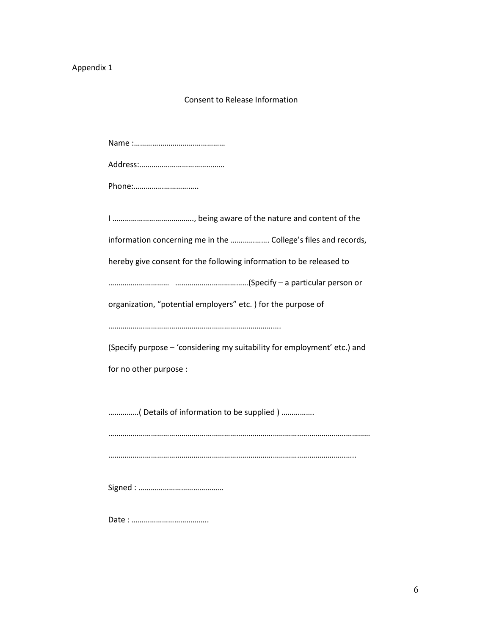## Appendix 1

### Consent to Release Information

| Phone:                                                                   |  |  |  |  |  |
|--------------------------------------------------------------------------|--|--|--|--|--|
|                                                                          |  |  |  |  |  |
|                                                                          |  |  |  |  |  |
| information concerning me in the  College's files and records,           |  |  |  |  |  |
| hereby give consent for the following information to be released to      |  |  |  |  |  |
|                                                                          |  |  |  |  |  |
| organization, "potential employers" etc. ) for the purpose of            |  |  |  |  |  |
|                                                                          |  |  |  |  |  |
| (Specify purpose - 'considering my suitability for employment' etc.) and |  |  |  |  |  |
| for no other purpose :                                                   |  |  |  |  |  |
|                                                                          |  |  |  |  |  |
| ( Details of information to be supplied )                                |  |  |  |  |  |
|                                                                          |  |  |  |  |  |
|                                                                          |  |  |  |  |  |
|                                                                          |  |  |  |  |  |
|                                                                          |  |  |  |  |  |
|                                                                          |  |  |  |  |  |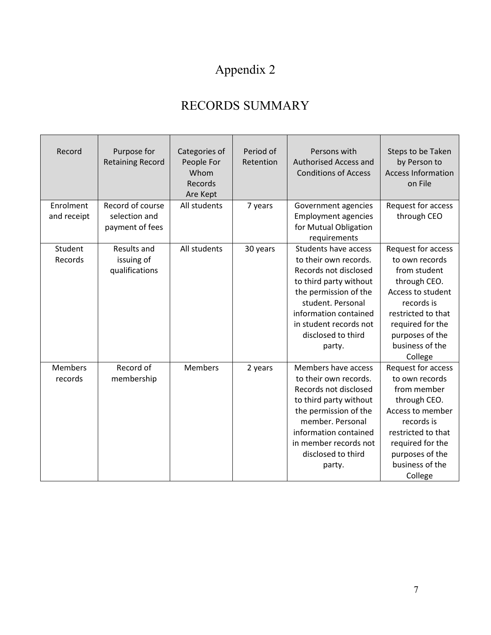# Appendix 2

## RECORDS SUMMARY

| Record                    | Purpose for<br><b>Retaining Record</b>               | Categories of<br>People For<br>Whom<br><b>Records</b><br>Are Kept | Period of<br>Retention | Persons with<br>Authorised Access and<br><b>Conditions of Access</b>                                                                                                                                                                     | Steps to be Taken<br>by Person to<br><b>Access Information</b><br>on File                                                                                                                          |
|---------------------------|------------------------------------------------------|-------------------------------------------------------------------|------------------------|------------------------------------------------------------------------------------------------------------------------------------------------------------------------------------------------------------------------------------------|----------------------------------------------------------------------------------------------------------------------------------------------------------------------------------------------------|
| Enrolment<br>and receipt  | Record of course<br>selection and<br>payment of fees | All students                                                      | 7 years                | Government agencies<br><b>Employment agencies</b><br>for Mutual Obligation<br>requirements                                                                                                                                               | Request for access<br>through CEO                                                                                                                                                                  |
| Student<br>Records        | Results and<br>issuing of<br>qualifications          | All students                                                      | 30 years               | <b>Students have access</b><br>to their own records.<br>Records not disclosed<br>to third party without<br>the permission of the<br>student. Personal<br>information contained<br>in student records not<br>disclosed to third<br>party. | Request for access<br>to own records<br>from student<br>through CEO.<br>Access to student<br>records is<br>restricted to that<br>required for the<br>purposes of the<br>business of the<br>College |
| <b>Members</b><br>records | Record of<br>membership                              | Members                                                           | 2 years                | Members have access<br>to their own records.<br>Records not disclosed<br>to third party without<br>the permission of the<br>member. Personal<br>information contained<br>in member records not<br>disclosed to third<br>party.           | Request for access<br>to own records<br>from member<br>through CEO.<br>Access to member<br>records is<br>restricted to that<br>required for the<br>purposes of the<br>business of the<br>College   |